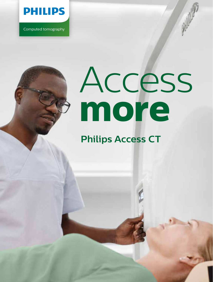

Computed tomography

## Access **more**

### **Philips Access CT**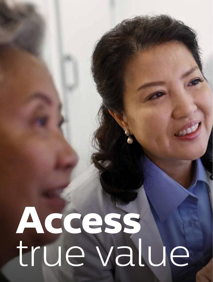# **Access** true value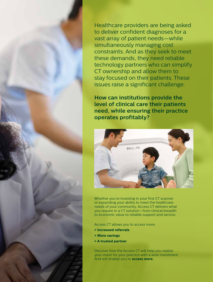Healthcare providers are being asked to deliver confident diagnoses for a vast array of patient needs—while simultaneously managing cost constraints. And as they seek to meet these demands, they need reliable technology partners who can simplify CT ownership and allow them to stay focused on their patients. These issues raise a significant challenge:

**How can institutions provide the level of clinical care their patients need, while ensuring their practice operates profitably?**



Whether you're investing in your first CT scanner or expanding your ability to meet the healthcare needs of your community, Access CT delivers what you require in a CT solution—from clinical breadth to economic value to reliable support and service.

Access CT allows you to access more:

- **+ Increased referrals**
- **+ More savings**
- **+ A trusted partner**

Discover how the Access CT will help you realize your vision for your practice with a wise investment. And will enable you to **access more.**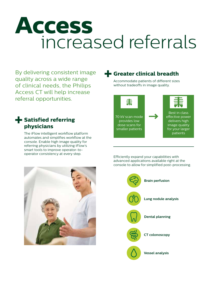## **Access** increased referrals

By delivering consistent image quality across a wide range of clinical needs, the Philips Access CT will help increase referral opportunities.

#### **Satisfied referring physicians**

The iFlow intelligent workflow platform automates and simplifies workflow at the console. Enable high image quality for referring physicians by utilizing iFlow's smart tools to improve operator-tooperator consistency at every step.



#### **Greater clinical breadth**

Accommodate patients of different sizes without tradeoffs in image quality.



Efficiently expand your capabilities with advanced applications available right at the console to allow for simplified post-processing.

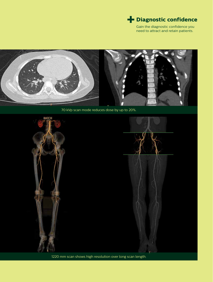

Gain the diagnostic confidence you need to attract and retain patients.



70 kVp scan mode reduces dose by up to 20%.



1220 mm scan shows high resolution over long scan length.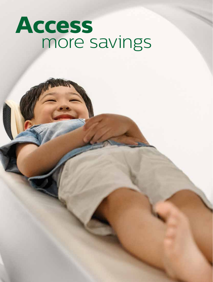## **Access** more savings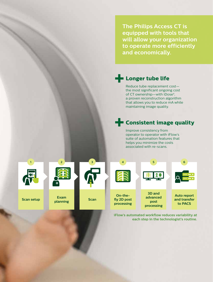**The Philips Access CT is equipped with tools that will allow your organization to operate more efficiently and economically.**

#### **Longer tube life**

Reduce tube replacement cost the most significant ongoing cost of CT ownership—with iDose<sup>4</sup>, a proven reconstruction algorithm that allows you to reduce mA while maintaining image quality.

#### **Consistent image quality**

Improve consistency from operator to operator with iFlow's suite of automation features that helps you minimize the costs associated with re-scans.

**1 2 3 4 5 6** 不  $\bullet$ **3D and On-the-Auto report Scan setup Exam advanced fly 2D post and transfer planning Scan post to PACS processing processing**

> **iFlow's automated workflow reduces variability at each step in the technologist's routine.**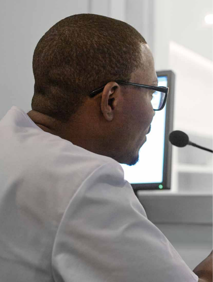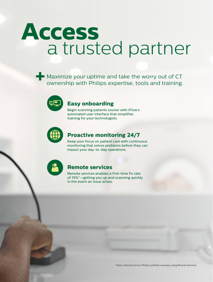## **Access** a trusted partner

Maximize your uptime and take the worry out of CT ownership with Philips expertise, tools and training.



#### **Easy onboarding**

Begin scanning patients sooner with iFlow's automated user interface that simplifies training for your technologists.



#### **Proactive monitoring 24/7**

Keep your focus on patient care with continuous monitoring that solves problems before they can impact your day-to-day operations.



#### **Remote services**

Remote services enables a first-time fix rate of 74%\*—getting you up and scanning quickly in the event an issue arises.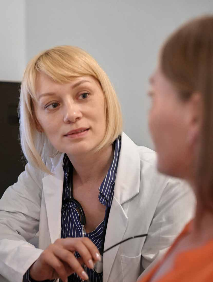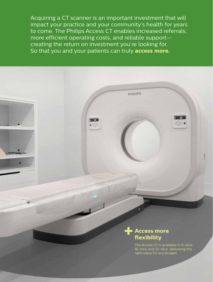Acquiring a CT scanner is an important investment that will impact your practice and your community's health for years to come. The Philips Access CT enables increased referrals, more efficient operating costs, and reliable support creating the return on investment you're looking for. So that you and your patients can truly **access more.**

**PHILIPS** 

#### **Access more flexibility**

The Access CT is available in 6-slice, 16-slice and 32-slice, delivering the right value for any budget.